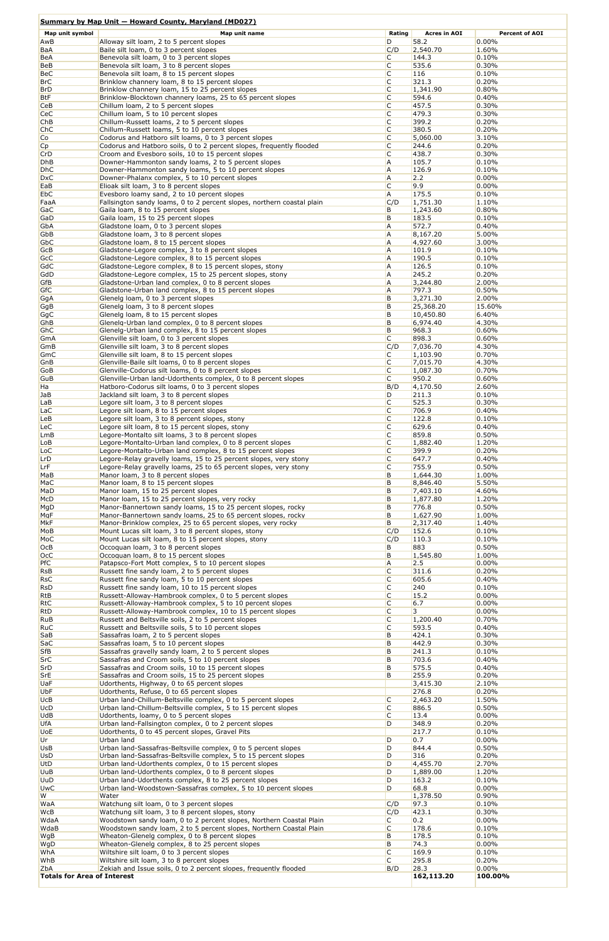## **Summary by Map Unit — Howard County, Maryland (MD027)**

| Map unit symbol                    | Map unit name                                                                                                                 | Rating              | <b>Acres in AOI</b>  | <b>Percent of AOI</b> |
|------------------------------------|-------------------------------------------------------------------------------------------------------------------------------|---------------------|----------------------|-----------------------|
| AwB                                | Alloway silt loam, 2 to 5 percent slopes                                                                                      | D                   | 58.2                 | 0.00%                 |
| BaA                                | Baile silt loam, 0 to 3 percent slopes                                                                                        | C/D                 | 2,540.70             | 1.60%                 |
| BeA                                | Benevola silt loam, 0 to 3 percent slopes                                                                                     | C                   | 144.3                | 0.10%                 |
| BeB<br>BeC                         | Benevola silt loam, 3 to 8 percent slopes<br>Benevola silt loam, 8 to 15 percent slopes                                       | C<br>C              | 535.6<br>116         | 0.30%<br>0.10%        |
| <b>BrC</b>                         | Brinklow channery loam, 8 to 15 percent slopes                                                                                | C                   | 321.3                | 0.20%                 |
| <b>BrD</b>                         | Brinklow channery loam, 15 to 25 percent slopes                                                                               | C                   | 1,341.90             | 0.80%                 |
| <b>BtF</b>                         | Brinklow-Blocktown channery loams, 25 to 65 percent slopes                                                                    | C                   | 594.6                | 0.40%                 |
| CeB                                | Chillum Ioam, 2 to 5 percent slopes                                                                                           | C                   | 457.5                | 0.30%                 |
| CeC                                | Chillum Ioam, 5 to 10 percent slopes                                                                                          | C                   | 479.3                | 0.30%                 |
| ChB                                | Chillum-Russett loams, 2 to 5 percent slopes                                                                                  | $\mathsf{C}$        | 399.2                | 0.20%                 |
| <b>ChC</b>                         | Chillum-Russett loams, 5 to 10 percent slopes                                                                                 | C<br>$\mathsf{C}$   | 380.5                | 0.20%                 |
| Co<br>Cp                           | Codorus and Hatboro silt loams, 0 to 3 percent slopes<br>Codorus and Hatboro soils, 0 to 2 percent slopes, frequently flooded | C                   | 5,060.00<br>244.6    | 3.10%<br>0.20%        |
| CrD                                | Croom and Evesboro soils, 10 to 15 percent slopes                                                                             | $\mathsf{C}$        | 438.7                | 0.30%                 |
| <b>DhB</b>                         | Downer-Hammonton sandy loams, 2 to 5 percent slopes                                                                           | A                   | 105.7                | 0.10%                 |
| <b>DhC</b>                         | Downer-Hammonton sandy loams, 5 to 10 percent slopes                                                                          | $\overline{A}$      | 126.9                | 0.10%                 |
| <b>DxC</b>                         | Downer-Phalanx complex, 5 to 10 percent slopes                                                                                | A                   | 2.2                  | 0.00%                 |
| EaB                                | Elioak silt loam, 3 to 8 percent slopes                                                                                       | C                   | 9.9                  | 0.00%                 |
| EbC<br>FaaA                        | Evesboro loamy sand, 2 to 10 percent slopes<br>Fallsington sandy loams, 0 to 2 percent slopes, northern coastal plain         | A<br>C/D            | 175.5<br>1,751.30    | 0.10%<br>1.10%        |
| GaC                                | Gaila loam, 8 to 15 percent slopes                                                                                            | В                   | 1,243.60             | 0.80%                 |
| GaD                                | Gaila loam, 15 to 25 percent slopes                                                                                           | B                   | 183.5                | 0.10%                 |
| GbA                                | Gladstone loam, 0 to 3 percent slopes                                                                                         | $\overline{A}$      | 572.7                | 0.40%                 |
| <b>GbB</b>                         | Gladstone loam, 3 to 8 percent slopes                                                                                         | $\overline{A}$      | 8,167.20             | 5.00%                 |
| GbC                                | Gladstone loam, 8 to 15 percent slopes                                                                                        | $\overline{A}$      | 4,927.60             | 3.00%                 |
| <b>GcB</b>                         | Gladstone-Legore complex, 3 to 8 percent slopes                                                                               | $\overline{A}$      | 101.9                | 0.10%                 |
| GcC<br><b>GdC</b>                  | Gladstone-Legore complex, 8 to 15 percent slopes                                                                              | A<br>$\overline{A}$ | 190.5<br>126.5       | 0.10%<br>0.10%        |
| GdD                                | Gladstone-Legore complex, 8 to 15 percent slopes, stony<br>Gladstone-Legore complex, 15 to 25 percent slopes, stony           | $\overline{A}$      | 245.2                | 0.20%                 |
| <b>GfB</b>                         | Gladstone-Urban land complex, 0 to 8 percent slopes                                                                           | $\overline{A}$      | 3,244.80             | 2.00%                 |
| <b>GfC</b>                         | Gladstone-Urban land complex, 8 to 15 percent slopes                                                                          | $\overline{A}$      | 797.3                | 0.50%                 |
| GgA                                | Glenelg loam, 0 to 3 percent slopes                                                                                           | B                   | 3,271.30             | 2.00%                 |
| GqB                                | Glenelg loam, 3 to 8 percent slopes                                                                                           | B                   | 25,368.20            | 15.60%                |
| GgC                                | Glenelg loam, 8 to 15 percent slopes                                                                                          | В                   | 10,450.80            | 6.40%                 |
| GhB                                | Glenelg-Urban land complex, 0 to 8 percent slopes                                                                             | В                   | 6,974.40             | 4.30%                 |
| GhC                                | Glenelg-Urban land complex, 8 to 15 percent slopes                                                                            | В                   | 968.3                | 0.60%                 |
| <b>GmA</b><br><b>GmB</b>           | Glenville silt loam, 0 to 3 percent slopes<br>Glenville silt loam, 3 to 8 percent slopes                                      | C<br>C/D            | 898.3<br>7,036.70    | 0.60%<br>4.30%        |
| GmC                                | Glenville silt loam, 8 to 15 percent slopes                                                                                   | C                   | 1,103.90             | 0.70%                 |
| GnB                                | Glenville-Baile silt loams, 0 to 8 percent slopes                                                                             | C                   | 7,015.70             | 4.30%                 |
| GoB                                | Glenville-Codorus silt loams, 0 to 8 percent slopes                                                                           | $\subset$           | 1,087.30             | 0.70%                 |
| GuB                                | Glenville-Urban land-Udorthents complex, 0 to 8 percent slopes                                                                | C                   | 950.2                | 0.60%                 |
| Ha                                 | Hatboro-Codorus silt loams, 0 to 3 percent slopes                                                                             | B/D                 | 4,170.50             | 2.60%                 |
| JaB                                | Jackland silt loam, 3 to 8 percent slopes                                                                                     | D                   | 211.3                | 0.10%                 |
| LaB                                | Legore silt loam, 3 to 8 percent slopes                                                                                       | $\mathsf{C}$        | 525.3                | 0.30%                 |
| LaC                                | Legore silt loam, 8 to 15 percent slopes                                                                                      | C<br>C              | 706.9                | 0.40%                 |
| LeB<br><b>LeC</b>                  | Legore silt loam, 3 to 8 percent slopes, stony<br>Legore silt loam, 8 to 15 percent slopes, stony                             | C                   | 122.8<br>629.6       | 0.10%<br>0.40%        |
| LmB                                | Legore-Montalto silt loams, 3 to 8 percent slopes                                                                             | C                   | 859.8                | 0.50%                 |
| LoB                                | Legore-Montalto-Urban land complex, 0 to 8 percent slopes                                                                     | C                   | 1,882.40             | 1.20%                 |
| LoC                                | Legore-Montalto-Urban land complex, 8 to 15 percent slopes                                                                    | C                   | 399.9                | 0.20%                 |
| LrD                                | Legore-Relay gravelly loams, 15 to 25 percent slopes, very stony                                                              | C                   | 647.7                | 0.40%                 |
| LrF                                | Legore-Relay gravelly loams, 25 to 65 percent slopes, very stony                                                              | C                   | 755.9                | 0.50%                 |
| MaB                                | Manor loam, 3 to 8 percent slopes                                                                                             | B                   | 1,644.30             | 1.00%                 |
| MaC                                | Manor Ioam, 8 to 15 percent slopes                                                                                            | В<br>В              | 8,846.40             | 5.50%<br>4.60%        |
| MaD<br><b>McD</b>                  | Manor loam, 15 to 25 percent slopes<br>Manor loam, 15 to 25 percent slopes, very rocky                                        | B                   | 7,403.10<br>1,877.80 | 1.20%                 |
| MgD                                | Manor-Bannertown sandy loams, 15 to 25 percent slopes, rocky                                                                  | B                   | 776.8                | 0.50%                 |
| <b>MgF</b>                         | Manor-Bannertown sandy loams, 25 to 65 percent slopes, rocky                                                                  | В                   | 1,627.90             | 1.00%                 |
| <b>M<sub>kF</sub></b>              | Manor-Brinklow complex, 25 to 65 percent slopes, very rocky                                                                   | B                   | 2,317.40             | 1.40%                 |
| MoB                                | Mount Lucas silt loam, 3 to 8 percent slopes, stony                                                                           | C/D                 | 152.6                | 0.10%                 |
| MoC                                | Mount Lucas silt loam, 8 to 15 percent slopes, stony                                                                          | C/D                 | 110.3                | 0.10%                 |
| OCB                                | Occoquan loam, 3 to 8 percent slopes                                                                                          | B                   | 883                  | 0.50%                 |
| OcC<br>PfC                         | Occoquan loam, 8 to 15 percent slopes<br>Patapsco-Fort Mott complex, 5 to 10 percent slopes                                   | B<br>A              | 1,545.80<br>2.5      | 1.00%<br>$0.00\%$     |
| <b>RsB</b>                         | Russett fine sandy loam, 2 to 5 percent slopes                                                                                | C                   | 311.6                | 0.20%                 |
| <b>RsC</b>                         | Russett fine sandy loam, 5 to 10 percent slopes                                                                               | C                   | 605.6                | 0.40%                 |
| RsD                                | Russett fine sandy loam, 10 to 15 percent slopes                                                                              | C                   | 240                  | 0.10%                 |
| <b>RtB</b>                         | Russett-Alloway-Hambrook complex, 0 to 5 percent slopes                                                                       | C                   | 15.2                 | $0.00\%$              |
| <b>RtC</b>                         | Russett-Alloway-Hambrook complex, 5 to 10 percent slopes                                                                      | C                   | 6.7                  | $0.00\%$              |
| RtD                                | Russett-Alloway-Hambrook complex, 10 to 15 percent slopes                                                                     | C                   | 3 <sup>1</sup>       | $0.00\%$              |
| <b>RuB</b><br><b>RuC</b>           | Russett and Beltsville soils, 2 to 5 percent slopes<br>Russett and Beltsville soils, 5 to 10 percent slopes                   | C<br>C              | 1,200.40<br>593.5    | 0.70%<br>0.40%        |
| SaB                                | Sassafras loam, 2 to 5 percent slopes                                                                                         | B                   | 424.1                | 0.30%                 |
| SaC                                | Sassafras loam, 5 to 10 percent slopes                                                                                        | В                   | 442.9                | 0.30%                 |
| <b>SfB</b>                         | Sassafras gravelly sandy loam, 2 to 5 percent slopes                                                                          | B                   | 241.3                | 0.10%                 |
| SrC                                | Sassafras and Croom soils, 5 to 10 percent slopes                                                                             | B                   | 703.6                | 0.40%                 |
| <b>SrD</b>                         | Sassafras and Croom soils, 10 to 15 percent slopes                                                                            | В                   | 575.5                | 0.40%                 |
| SrE                                | Sassafras and Croom soils, 15 to 25 percent slopes                                                                            | B                   | 255.9                | 0.20%                 |
| UaF<br>UbF                         | Udorthents, Highway, 0 to 65 percent slopes<br>Udorthents, Refuse, 0 to 65 percent slopes                                     |                     | 3,415.30<br>276.8    | 2.10%<br>0.20%        |
| <b>UcB</b>                         | Urban land-Chillum-Beltsville complex, 0 to 5 percent slopes                                                                  | C                   | 2,463.20             | 1.50%                 |
| <b>UcD</b>                         | Urban land-Chillum-Beltsville complex, 5 to 15 percent slopes                                                                 | C                   | 886.5                | 0.50%                 |
| <b>UdB</b>                         | Udorthents, loamy, 0 to 5 percent slopes                                                                                      | C                   | 13.4                 | 0.00%                 |
| <b>UfA</b>                         | Urban land-Fallsington complex, 0 to 2 percent slopes                                                                         | D                   | 348.9                | 0.20%                 |
| <b>UoE</b>                         | Udorthents, 0 to 45 percent slopes, Gravel Pits                                                                               |                     | 217.7                | 0.10%                 |
| Ur                                 | Urban land                                                                                                                    | D                   | 0.7                  | 0.00%                 |
| <b>UsB</b>                         | Urban land-Sassafras-Beltsville complex, 0 to 5 percent slopes                                                                | D                   | 844.4                | 0.50%                 |
| UsD<br>UtD                         | Urban land-Sassafras-Beltsville complex, 5 to 15 percent slopes<br>Urban land-Udorthents complex, 0 to 15 percent slopes      | D<br>D              | 316<br>4,455.70      | 0.20%<br>2.70%        |
| UuB                                | Urban land-Udorthents complex, 0 to 8 percent slopes                                                                          | D                   | 1,889.00             | 1.20%                 |
| UuD                                | Urban land-Udorthents complex, 8 to 25 percent slopes                                                                         | D                   | 163.2                | 0.10%                 |
| <b>UwC</b>                         | Urban land-Woodstown-Sassafras complex, 5 to 10 percent slopes                                                                | D                   | 68.8                 | $0.00\%$              |
| W                                  | Water                                                                                                                         |                     | 1,378.50             | 0.90%                 |
| WaA                                | Watchung silt loam, 0 to 3 percent slopes                                                                                     | C/D                 | 97.3                 | 0.10%                 |
| <b>WcB</b>                         | Watchung silt loam, 3 to 8 percent slopes, stony                                                                              | C/D                 | 423.1                | 0.30%                 |
| WdaA                               | Woodstown sandy loam, 0 to 2 percent slopes, Northern Coastal Plain                                                           | C                   | 0.2                  | $0.00\%$              |
| WdaB                               | Woodstown sandy loam, 2 to 5 percent slopes, Northern Coastal Plain                                                           | C                   | 178.6                | 0.10%                 |
| <b>WgB</b><br>WgD                  | Wheaton-Glenelg complex, 0 to 8 percent slopes<br>Wheaton-Glenelg complex, 8 to 25 percent slopes                             | B<br>В              | 178.5<br>74.3        | 0.10%<br>$0.00\%$     |
| WhA                                | Wiltshire silt loam, 0 to 3 percent slopes                                                                                    | C                   | 169.9                | 0.10%                 |
| WhB                                | Wiltshire silt loam, 3 to 8 percent slopes                                                                                    | C                   | 295.8                | 0.20%                 |
| <b>ZbA</b>                         | Zekiah and Issue soils, 0 to 2 percent slopes, frequently flooded                                                             | B/D                 | 28.3                 | 0.00%                 |
| <b>Totals for Area of Interest</b> |                                                                                                                               |                     | 162,113.20           | 100.00%               |
|                                    |                                                                                                                               |                     |                      |                       |